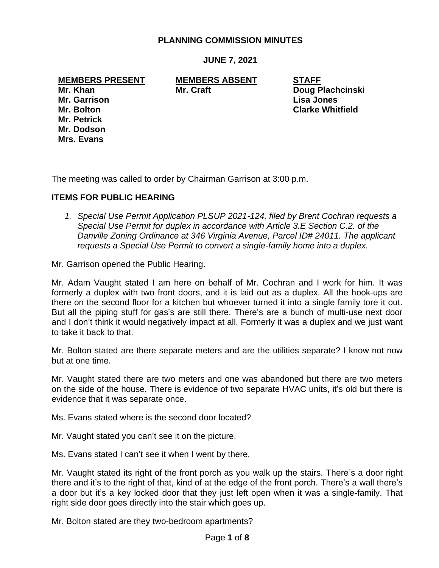## **PLANNING COMMISSION MINUTES**

**JUNE 7, 2021**

**MEMBERS PRESENT MEMBERS ABSENT STAFF**

**Mr. Petrick Mr. Dodson Mrs. Evans**

**Mr. Khan Mr. Craft Doug Plachcinski Mr. Garrison Lisa Jones Mr. Bolton Clarke Whitfield**

The meeting was called to order by Chairman Garrison at 3:00 p.m.

#### **ITEMS FOR PUBLIC HEARING**

*1. Special Use Permit Application PLSUP 2021-124, filed by Brent Cochran requests a Special Use Permit for duplex in accordance with Article 3.E Section C.2. of the Danville Zoning Ordinance at 346 Virginia Avenue, Parcel ID# 24011. The applicant requests a Special Use Permit to convert a single-family home into a duplex.*

Mr. Garrison opened the Public Hearing.

Mr. Adam Vaught stated I am here on behalf of Mr. Cochran and I work for him. It was formerly a duplex with two front doors, and it is laid out as a duplex. All the hook-ups are there on the second floor for a kitchen but whoever turned it into a single family tore it out. But all the piping stuff for gas's are still there. There's are a bunch of multi-use next door and I don't think it would negatively impact at all. Formerly it was a duplex and we just want to take it back to that.

Mr. Bolton stated are there separate meters and are the utilities separate? I know not now but at one time.

Mr. Vaught stated there are two meters and one was abandoned but there are two meters on the side of the house. There is evidence of two separate HVAC units, it's old but there is evidence that it was separate once.

Ms. Evans stated where is the second door located?

Mr. Vaught stated you can't see it on the picture.

Ms. Evans stated I can't see it when I went by there.

Mr. Vaught stated its right of the front porch as you walk up the stairs. There's a door right there and it's to the right of that, kind of at the edge of the front porch. There's a wall there's a door but it's a key locked door that they just left open when it was a single-family. That right side door goes directly into the stair which goes up.

Mr. Bolton stated are they two-bedroom apartments?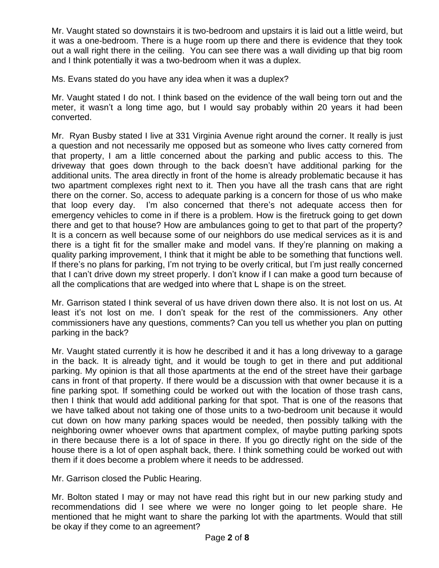Mr. Vaught stated so downstairs it is two-bedroom and upstairs it is laid out a little weird, but it was a one-bedroom. There is a huge room up there and there is evidence that they took out a wall right there in the ceiling. You can see there was a wall dividing up that big room and I think potentially it was a two-bedroom when it was a duplex.

Ms. Evans stated do you have any idea when it was a duplex?

Mr. Vaught stated I do not. I think based on the evidence of the wall being torn out and the meter, it wasn't a long time ago, but I would say probably within 20 years it had been converted.

Mr. Ryan Busby stated I live at 331 Virginia Avenue right around the corner. It really is just a question and not necessarily me opposed but as someone who lives catty cornered from that property, I am a little concerned about the parking and public access to this. The driveway that goes down through to the back doesn't have additional parking for the additional units. The area directly in front of the home is already problematic because it has two apartment complexes right next to it. Then you have all the trash cans that are right there on the corner. So, access to adequate parking is a concern for those of us who make that loop every day. I'm also concerned that there's not adequate access then for emergency vehicles to come in if there is a problem. How is the firetruck going to get down there and get to that house? How are ambulances going to get to that part of the property? It is a concern as well because some of our neighbors do use medical services as it is and there is a tight fit for the smaller make and model vans. If they're planning on making a quality parking improvement, I think that it might be able to be something that functions well. If there's no plans for parking, I'm not trying to be overly critical, but I'm just really concerned that I can't drive down my street properly. I don't know if I can make a good turn because of all the complications that are wedged into where that L shape is on the street.

Mr. Garrison stated I think several of us have driven down there also. It is not lost on us. At least it's not lost on me. I don't speak for the rest of the commissioners. Any other commissioners have any questions, comments? Can you tell us whether you plan on putting parking in the back?

Mr. Vaught stated currently it is how he described it and it has a long driveway to a garage in the back. It is already tight, and it would be tough to get in there and put additional parking. My opinion is that all those apartments at the end of the street have their garbage cans in front of that property. If there would be a discussion with that owner because it is a fine parking spot. If something could be worked out with the location of those trash cans, then I think that would add additional parking for that spot. That is one of the reasons that we have talked about not taking one of those units to a two-bedroom unit because it would cut down on how many parking spaces would be needed, then possibly talking with the neighboring owner whoever owns that apartment complex, of maybe putting parking spots in there because there is a lot of space in there. If you go directly right on the side of the house there is a lot of open asphalt back, there. I think something could be worked out with them if it does become a problem where it needs to be addressed.

Mr. Garrison closed the Public Hearing.

Mr. Bolton stated I may or may not have read this right but in our new parking study and recommendations did I see where we were no longer going to let people share. He mentioned that he might want to share the parking lot with the apartments. Would that still be okay if they come to an agreement?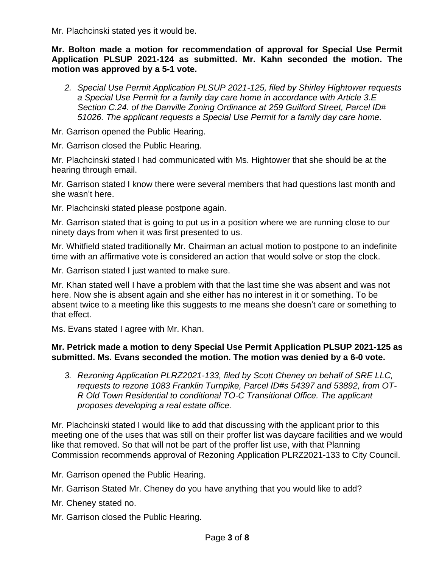Mr. Plachcinski stated yes it would be.

**Mr. Bolton made a motion for recommendation of approval for Special Use Permit Application PLSUP 2021-124 as submitted. Mr. Kahn seconded the motion. The motion was approved by a 5-1 vote.**

*2. Special Use Permit Application PLSUP 2021-125, filed by Shirley Hightower requests a Special Use Permit for a family day care home in accordance with Article 3.E Section C.24. of the Danville Zoning Ordinance at 259 Guilford Street, Parcel ID# 51026. The applicant requests a Special Use Permit for a family day care home.*

Mr. Garrison opened the Public Hearing.

Mr. Garrison closed the Public Hearing.

Mr. Plachcinski stated I had communicated with Ms. Hightower that she should be at the hearing through email.

Mr. Garrison stated I know there were several members that had questions last month and she wasn't here.

Mr. Plachcinski stated please postpone again.

Mr. Garrison stated that is going to put us in a position where we are running close to our ninety days from when it was first presented to us.

Mr. Whitfield stated traditionally Mr. Chairman an actual motion to postpone to an indefinite time with an affirmative vote is considered an action that would solve or stop the clock.

Mr. Garrison stated I just wanted to make sure.

Mr. Khan stated well I have a problem with that the last time she was absent and was not here. Now she is absent again and she either has no interest in it or something. To be absent twice to a meeting like this suggests to me means she doesn't care or something to that effect.

Ms. Evans stated I agree with Mr. Khan.

# **Mr. Petrick made a motion to deny Special Use Permit Application PLSUP 2021-125 as submitted. Ms. Evans seconded the motion. The motion was denied by a 6-0 vote.**

*3. Rezoning Application PLRZ2021-133, filed by Scott Cheney on behalf of SRE LLC, requests to rezone 1083 Franklin Turnpike, Parcel ID#s 54397 and 53892, from OT-R Old Town Residential to conditional TO-C Transitional Office. The applicant proposes developing a real estate office.*

Mr. Plachcinski stated I would like to add that discussing with the applicant prior to this meeting one of the uses that was still on their proffer list was daycare facilities and we would like that removed. So that will not be part of the proffer list use, with that Planning Commission recommends approval of Rezoning Application PLRZ2021-133 to City Council.

Mr. Garrison opened the Public Hearing.

Mr. Garrison Stated Mr. Cheney do you have anything that you would like to add?

Mr. Cheney stated no.

Mr. Garrison closed the Public Hearing.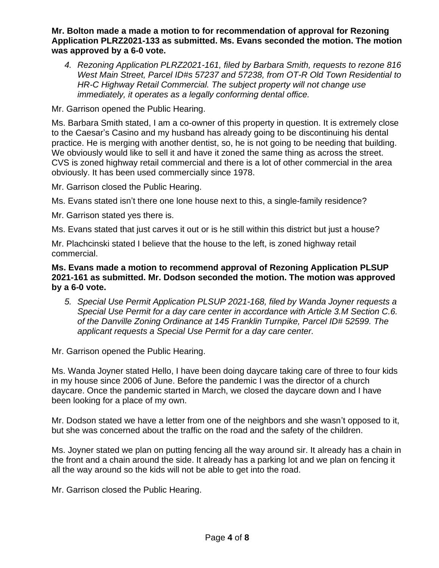### **Mr. Bolton made a made a motion to for recommendation of approval for Rezoning Application PLRZ2021-133 as submitted. Ms. Evans seconded the motion. The motion was approved by a 6-0 vote.**

*4. Rezoning Application PLRZ2021-161, filed by Barbara Smith, requests to rezone 816 West Main Street, Parcel ID#s 57237 and 57238, from OT-R Old Town Residential to HR-C Highway Retail Commercial. The subject property will not change use immediately, it operates as a legally conforming dental office.*

Mr. Garrison opened the Public Hearing.

Ms. Barbara Smith stated, I am a co-owner of this property in question. It is extremely close to the Caesar's Casino and my husband has already going to be discontinuing his dental practice. He is merging with another dentist, so, he is not going to be needing that building. We obviously would like to sell it and have it zoned the same thing as across the street. CVS is zoned highway retail commercial and there is a lot of other commercial in the area obviously. It has been used commercially since 1978.

Mr. Garrison closed the Public Hearing.

Ms. Evans stated isn't there one lone house next to this, a single-family residence?

Mr. Garrison stated yes there is.

Ms. Evans stated that just carves it out or is he still within this district but just a house?

Mr. Plachcinski stated I believe that the house to the left, is zoned highway retail commercial.

**Ms. Evans made a motion to recommend approval of Rezoning Application PLSUP 2021-161 as submitted. Mr. Dodson seconded the motion. The motion was approved by a 6-0 vote.**

*5. Special Use Permit Application PLSUP 2021-168, filed by Wanda Joyner requests a Special Use Permit for a day care center in accordance with Article 3.M Section C.6. of the Danville Zoning Ordinance at 145 Franklin Turnpike, Parcel ID# 52599. The applicant requests a Special Use Permit for a day care center.*

Mr. Garrison opened the Public Hearing.

Ms. Wanda Joyner stated Hello, I have been doing daycare taking care of three to four kids in my house since 2006 of June. Before the pandemic I was the director of a church daycare. Once the pandemic started in March, we closed the daycare down and I have been looking for a place of my own.

Mr. Dodson stated we have a letter from one of the neighbors and she wasn't opposed to it, but she was concerned about the traffic on the road and the safety of the children.

Ms. Joyner stated we plan on putting fencing all the way around sir. It already has a chain in the front and a chain around the side. It already has a parking lot and we plan on fencing it all the way around so the kids will not be able to get into the road.

Mr. Garrison closed the Public Hearing.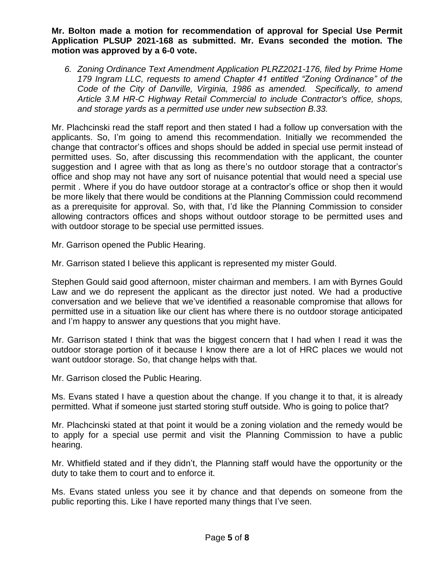**Mr. Bolton made a motion for recommendation of approval for Special Use Permit Application PLSUP 2021-168 as submitted. Mr. Evans seconded the motion. The motion was approved by a 6-0 vote.**

*6. Zoning Ordinance Text Amendment Application PLRZ2021-176, filed by Prime Home 179 Ingram LLC, requests to amend Chapter 41 entitled "Zoning Ordinance" of the Code of the City of Danville, Virginia, 1986 as amended. Specifically, to amend Article 3.M HR-C Highway Retail Commercial to include Contractor's office, shops, and storage yards as a permitted use under new subsection B.33.*

Mr. Plachcinski read the staff report and then stated I had a follow up conversation with the applicants. So, I'm going to amend this recommendation. Initially we recommended the change that contractor's offices and shops should be added in special use permit instead of permitted uses. So, after discussing this recommendation with the applicant, the counter suggestion and I agree with that as long as there's no outdoor storage that a contractor's office and shop may not have any sort of nuisance potential that would need a special use permit . Where if you do have outdoor storage at a contractor's office or shop then it would be more likely that there would be conditions at the Planning Commission could recommend as a prerequisite for approval. So, with that, I'd like the Planning Commission to consider allowing contractors offices and shops without outdoor storage to be permitted uses and with outdoor storage to be special use permitted issues.

Mr. Garrison opened the Public Hearing.

Mr. Garrison stated I believe this applicant is represented my mister Gould.

Stephen Gould said good afternoon, mister chairman and members. I am with Byrnes Gould Law and we do represent the applicant as the director just noted. We had a productive conversation and we believe that we've identified a reasonable compromise that allows for permitted use in a situation like our client has where there is no outdoor storage anticipated and I'm happy to answer any questions that you might have.

Mr. Garrison stated I think that was the biggest concern that I had when I read it was the outdoor storage portion of it because I know there are a lot of HRC places we would not want outdoor storage. So, that change helps with that.

Mr. Garrison closed the Public Hearing.

Ms. Evans stated I have a question about the change. If you change it to that, it is already permitted. What if someone just started storing stuff outside. Who is going to police that?

Mr. Plachcinski stated at that point it would be a zoning violation and the remedy would be to apply for a special use permit and visit the Planning Commission to have a public hearing.

Mr. Whitfield stated and if they didn't, the Planning staff would have the opportunity or the duty to take them to court and to enforce it.

Ms. Evans stated unless you see it by chance and that depends on someone from the public reporting this. Like I have reported many things that I've seen.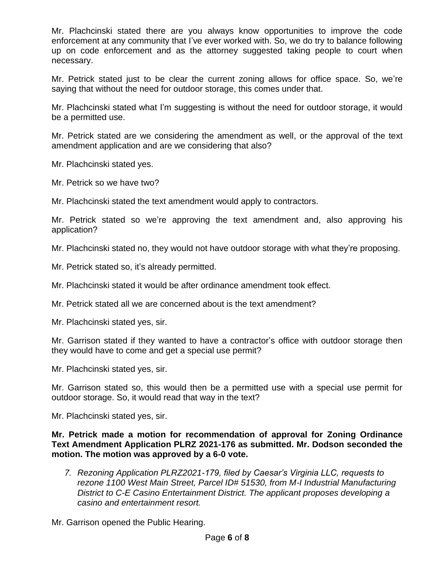Mr. Plachcinski stated there are you always know opportunities to improve the code enforcement at any community that I've ever worked with. So, we do try to balance following up on code enforcement and as the attorney suggested taking people to court when necessary.

Mr. Petrick stated just to be clear the current zoning allows for office space. So, we're saying that without the need for outdoor storage, this comes under that.

Mr. Plachcinski stated what I'm suggesting is without the need for outdoor storage, it would be a permitted use.

Mr. Petrick stated are we considering the amendment as well, or the approval of the text amendment application and are we considering that also?

Mr. Plachcinski stated yes.

Mr. Petrick so we have two?

Mr. Plachcinski stated the text amendment would apply to contractors.

Mr. Petrick stated so we're approving the text amendment and, also approving his application?

Mr. Plachcinski stated no, they would not have outdoor storage with what they're proposing.

Mr. Petrick stated so, it's already permitted.

Mr. Plachcinski stated it would be after ordinance amendment took effect.

Mr. Petrick stated all we are concerned about is the text amendment?

Mr. Plachcinski stated yes, sir.

Mr. Garrison stated if they wanted to have a contractor's office with outdoor storage then they would have to come and get a special use permit?

Mr. Plachcinski stated yes, sir.

Mr. Garrison stated so, this would then be a permitted use with a special use permit for outdoor storage. So, it would read that way in the text?

Mr. Plachcinski stated yes, sir.

**Mr. Petrick made a motion for recommendation of approval for Zoning Ordinance Text Amendment Application PLRZ 2021-176 as submitted. Mr. Dodson seconded the motion. The motion was approved by a 6-0 vote.**

*7. Rezoning Application PLRZ2021-179, filed by Caesar's Virginia LLC, requests to rezone 1100 West Main Street, Parcel ID# 51530, from M-I Industrial Manufacturing District to C-E Casino Entertainment District. The applicant proposes developing a casino and entertainment resort.*

Mr. Garrison opened the Public Hearing.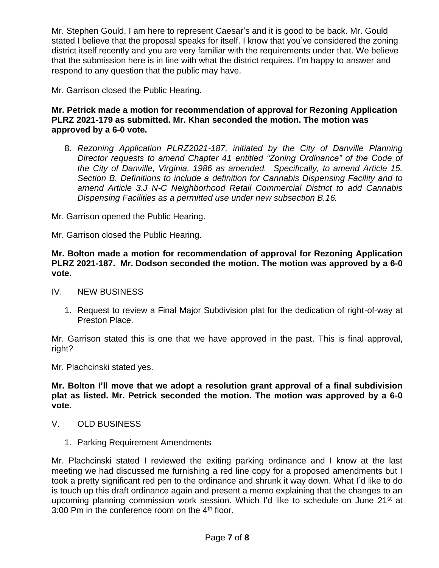Mr. Stephen Gould, I am here to represent Caesar's and it is good to be back. Mr. Gould stated I believe that the proposal speaks for itself. I know that you've considered the zoning district itself recently and you are very familiar with the requirements under that. We believe that the submission here is in line with what the district requires. I'm happy to answer and respond to any question that the public may have.

Mr. Garrison closed the Public Hearing.

# **Mr. Petrick made a motion for recommendation of approval for Rezoning Application PLRZ 2021-179 as submitted. Mr. Khan seconded the motion. The motion was approved by a 6-0 vote.**

8. *Rezoning Application PLRZ2021-187, initiated by the City of Danville Planning Director requests to amend Chapter 41 entitled "Zoning Ordinance" of the Code of the City of Danville, Virginia, 1986 as amended. Specifically, to amend Article 15. Section B. Definitions to include a definition for Cannabis Dispensing Facility and to amend Article 3.J N-C Neighborhood Retail Commercial District to add Cannabis Dispensing Facilities as a permitted use under new subsection B.16.*

Mr. Garrison opened the Public Hearing.

Mr. Garrison closed the Public Hearing.

**Mr. Bolton made a motion for recommendation of approval for Rezoning Application PLRZ 2021-187. Mr. Dodson seconded the motion. The motion was approved by a 6-0 vote.**

IV. NEW BUSINESS

1. Request to review a Final Major Subdivision plat for the dedication of right-of-way at Preston Place.

Mr. Garrison stated this is one that we have approved in the past. This is final approval, right?

Mr. Plachcinski stated yes.

**Mr. Bolton I'll move that we adopt a resolution grant approval of a final subdivision plat as listed. Mr. Petrick seconded the motion. The motion was approved by a 6-0 vote.** 

- V. OLD BUSINESS
	- 1. Parking Requirement Amendments

Mr. Plachcinski stated I reviewed the exiting parking ordinance and I know at the last meeting we had discussed me furnishing a red line copy for a proposed amendments but I took a pretty significant red pen to the ordinance and shrunk it way down. What I'd like to do is touch up this draft ordinance again and present a memo explaining that the changes to an upcoming planning commission work session. Which I'd like to schedule on June 21<sup>st</sup> at 3:00 Pm in the conference room on the  $4<sup>th</sup>$  floor.